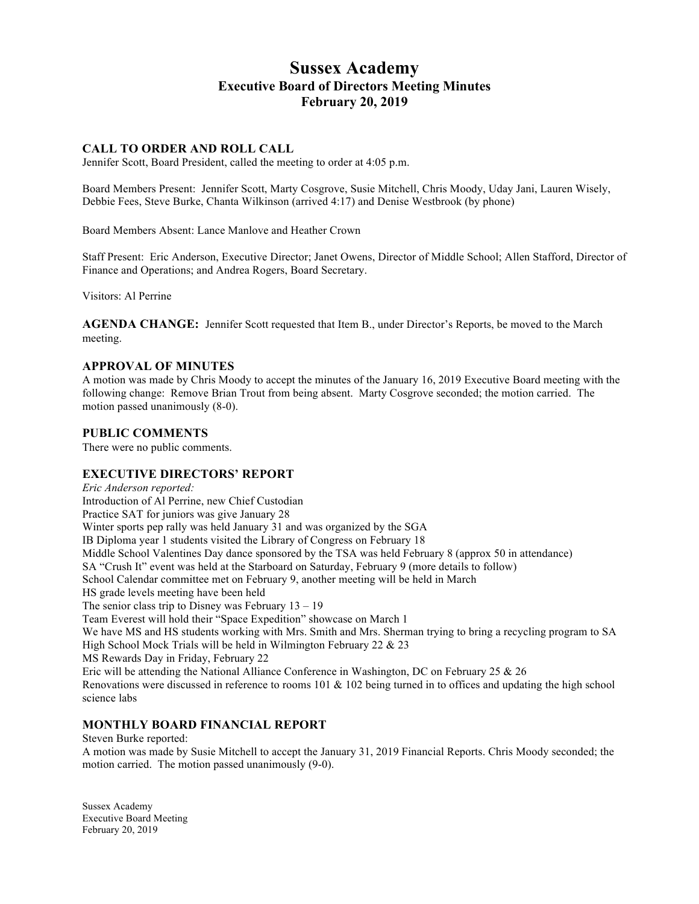# **Sussex Academy Executive Board of Directors Meeting Minutes February 20, 2019**

# **CALL TO ORDER AND ROLL CALL**

Jennifer Scott, Board President, called the meeting to order at 4:05 p.m.

Board Members Present: Jennifer Scott, Marty Cosgrove, Susie Mitchell, Chris Moody, Uday Jani, Lauren Wisely, Debbie Fees, Steve Burke, Chanta Wilkinson (arrived 4:17) and Denise Westbrook (by phone)

Board Members Absent: Lance Manlove and Heather Crown

Staff Present: Eric Anderson, Executive Director; Janet Owens, Director of Middle School; Allen Stafford, Director of Finance and Operations; and Andrea Rogers, Board Secretary.

Visitors: Al Perrine

**AGENDA CHANGE:** Jennifer Scott requested that Item B., under Director's Reports, be moved to the March meeting.

#### **APPROVAL OF MINUTES**

A motion was made by Chris Moody to accept the minutes of the January 16, 2019 Executive Board meeting with the following change: Remove Brian Trout from being absent. Marty Cosgrove seconded; the motion carried. The motion passed unanimously (8-0).

#### **PUBLIC COMMENTS**

There were no public comments.

# **EXECUTIVE DIRECTORS' REPORT**

*Eric Anderson reported:* Introduction of Al Perrine, new Chief Custodian Practice SAT for juniors was give January 28 Winter sports pep rally was held January 31 and was organized by the SGA IB Diploma year 1 students visited the Library of Congress on February 18 Middle School Valentines Day dance sponsored by the TSA was held February 8 (approx 50 in attendance) SA "Crush It" event was held at the Starboard on Saturday, February 9 (more details to follow) School Calendar committee met on February 9, another meeting will be held in March HS grade levels meeting have been held The senior class trip to Disney was February  $13 - 19$ Team Everest will hold their "Space Expedition" showcase on March 1 We have MS and HS students working with Mrs. Smith and Mrs. Sherman trying to bring a recycling program to SA High School Mock Trials will be held in Wilmington February 22 & 23 MS Rewards Day in Friday, February 22 Eric will be attending the National Alliance Conference in Washington, DC on February 25 & 26 Renovations were discussed in reference to rooms 101 & 102 being turned in to offices and updating the high school science labs

# **MONTHLY BOARD FINANCIAL REPORT**

Steven Burke reported: A motion was made by Susie Mitchell to accept the January 31, 2019 Financial Reports. Chris Moody seconded; the motion carried. The motion passed unanimously (9-0).

Sussex Academy Executive Board Meeting February 20, 2019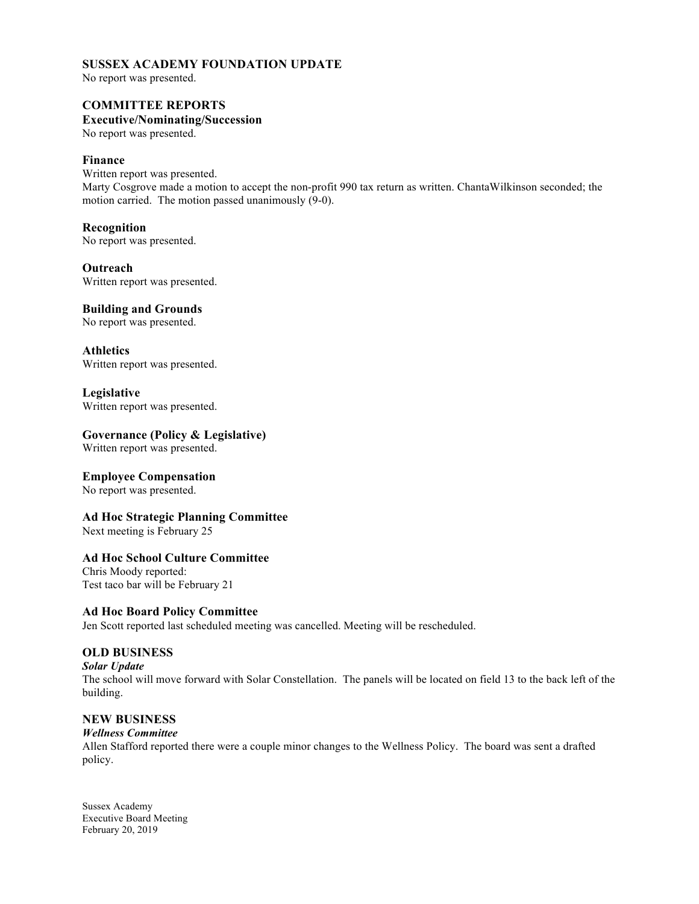# **SUSSEX ACADEMY FOUNDATION UPDATE**

No report was presented.

# **COMMITTEE REPORTS**

# **Executive/Nominating/Succession**

No report was presented.

## **Finance**

Written report was presented. Marty Cosgrove made a motion to accept the non-profit 990 tax return as written. ChantaWilkinson seconded; the motion carried. The motion passed unanimously (9-0).

#### **Recognition**

No report was presented.

**Outreach** Written report was presented.

#### **Building and Grounds**

No report was presented.

**Athletics** Written report was presented.

#### **Legislative**

Written report was presented.

#### **Governance (Policy & Legislative)**

Written report was presented.

#### **Employee Compensation**

No report was presented.

# **Ad Hoc Strategic Planning Committee**

Next meeting is February 25

# **Ad Hoc School Culture Committee**

Chris Moody reported: Test taco bar will be February 21

#### **Ad Hoc Board Policy Committee**

Jen Scott reported last scheduled meeting was cancelled. Meeting will be rescheduled.

# **OLD BUSINESS**

*Solar Update*

The school will move forward with Solar Constellation. The panels will be located on field 13 to the back left of the building.

# **NEW BUSINESS**

#### *Wellness Committee*

Allen Stafford reported there were a couple minor changes to the Wellness Policy. The board was sent a drafted policy.

Sussex Academy Executive Board Meeting February 20, 2019